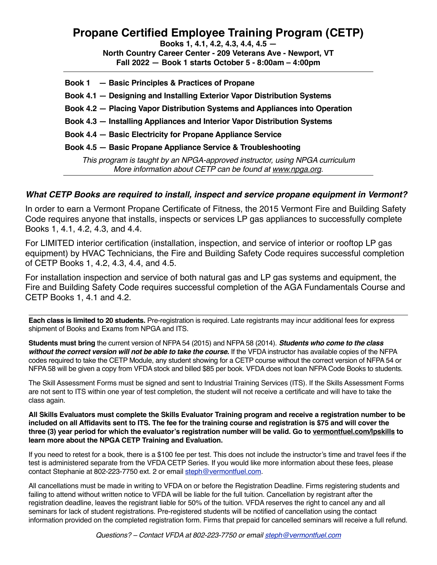## **Propane Certified Employee Training Program (CETP)**

**Books 1, 4.1, 4.2, 4.3, 4.4, 4.5 — North Country Career Center - 209 Veterans Ave - Newport, VT Fall 2022 — Book 1 starts October 5 - 8:00am – 4:00pm**

| Book 1 - Basic Principles & Practices of Propane                                                                                          |
|-------------------------------------------------------------------------------------------------------------------------------------------|
| Book 4.1 - Designing and Installing Exterior Vapor Distribution Systems                                                                   |
| Book 4.2 - Placing Vapor Distribution Systems and Appliances into Operation                                                               |
| Book 4.3 – Installing Appliances and Interior Vapor Distribution Systems                                                                  |
| Book 4.4 - Basic Electricity for Propane Appliance Service                                                                                |
| Book 4.5 - Basic Propane Appliance Service & Troubleshooting                                                                              |
| This program is taught by an NPGA-approved instructor, using NPGA curriculum<br>More information about CETP can be found at www.npga.org. |

## *What CETP Books are required to install, inspect and service propane equipment in Vermont?*

In order to earn a Vermont Propane Certificate of Fitness, the 2015 Vermont Fire and Building Safety Code requires anyone that installs, inspects or services LP gas appliances to successfully complete Books 1, 4.1, 4.2, 4.3, and 4.4.

For LIMITED interior certification (installation, inspection, and service of interior or rooftop LP gas equipment) by HVAC Technicians, the Fire and Building Safety Code requires successful completion of CETP Books 1, 4.2, 4.3, 4.4, and 4.5.

For installation inspection and service of both natural gas and LP gas systems and equipment, the Fire and Building Safety Code requires successful completion of the AGA Fundamentals Course and CETP Books 1, 4.1 and 4.2.

**Each class is limited to 20 students.** Pre-registration is required. Late registrants may incur additional fees for express shipment of Books and Exams from NPGA and ITS.

**Students must bring** the current version of NFPA 54 (2015) and NFPA 58 (2014). *Students who come to the class*  without the correct version will not be able to take the course. If the VFDA instructor has available copies of the NFPA codes required to take the CETP Module, any student showing for a CETP course without the correct version of NFPA 54 or NFPA 58 will be given a copy from VFDA stock and billed \$85 per book. VFDA does not loan NFPA Code Books to students.

The Skill Assessment Forms must be signed and sent to Industrial Training Services (ITS). If the Skills Assessment Forms are not sent to ITS within one year of test completion, the student will not receive a certificate and will have to take the class again.

**All Skills Evaluators must complete the Skills Evaluator Training program and receive a registration number to be included on all Affidavits sent to ITS. The fee for the training course and registration is \$75 and will cover the three (3) year period for which the evaluator's registration number will be valid. Go to [vermontfuel.com/lpskills](http://vermontfuel.com/lpskills) to learn more about the NPGA CETP Training and Evaluation.** 

If you need to retest for a book, there is a \$100 fee per test. This does not include the instructor's time and travel fees if the test is administered separate from the VFDA CETP Series. If you would like more information about these fees, please contact Stephanie at 802-223-7750 ext. 2 or email [steph@vermontfuel.com.](mailto:steph@vermontfuel.co) 

All cancellations must be made in writing to VFDA on or before the Registration Deadline. Firms registering students and failing to attend without written notice to VFDA will be liable for the full tuition. Cancellation by registrant after the registration deadline, leaves the registrant liable for 50% of the tuition. VFDA reserves the right to cancel any and all seminars for lack of student registrations. Pre-registered students will be notified of cancellation using the contact information provided on the completed registration form. Firms that prepaid for cancelled seminars will receive a full refund.